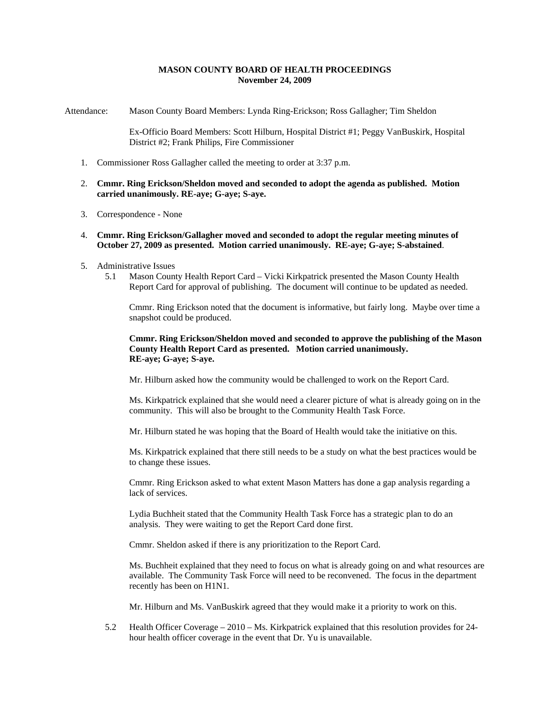# **MASON COUNTY BOARD OF HEALTH PROCEEDINGS November 24, 2009**

Attendance: Mason County Board Members: Lynda Ring-Erickson; Ross Gallagher; Tim Sheldon

Ex-Officio Board Members: Scott Hilburn, Hospital District #1; Peggy VanBuskirk, Hospital District #2; Frank Philips, Fire Commissioner

- 1. Commissioner Ross Gallagher called the meeting to order at 3:37 p.m.
- 2. **Cmmr. Ring Erickson/Sheldon moved and seconded to adopt the agenda as published. Motion carried unanimously. RE-aye; G-aye; S-aye.**
- 3. Correspondence None
- 4. **Cmmr. Ring Erickson/Gallagher moved and seconded to adopt the regular meeting minutes of October 27, 2009 as presented. Motion carried unanimously. RE-aye; G-aye; S-abstained**.
- 5. Administrative Issues
	- 5.1 Mason County Health Report Card Vicki Kirkpatrick presented the Mason County Health Report Card for approval of publishing. The document will continue to be updated as needed.

Cmmr. Ring Erickson noted that the document is informative, but fairly long. Maybe over time a snapshot could be produced.

**Cmmr. Ring Erickson/Sheldon moved and seconded to approve the publishing of the Mason County Health Report Card as presented. Motion carried unanimously. RE-aye; G-aye; S-aye.** 

Mr. Hilburn asked how the community would be challenged to work on the Report Card.

Ms. Kirkpatrick explained that she would need a clearer picture of what is already going on in the community. This will also be brought to the Community Health Task Force.

Mr. Hilburn stated he was hoping that the Board of Health would take the initiative on this.

Ms. Kirkpatrick explained that there still needs to be a study on what the best practices would be to change these issues.

Cmmr. Ring Erickson asked to what extent Mason Matters has done a gap analysis regarding a lack of services.

Lydia Buchheit stated that the Community Health Task Force has a strategic plan to do an analysis. They were waiting to get the Report Card done first.

Cmmr. Sheldon asked if there is any prioritization to the Report Card.

Ms. Buchheit explained that they need to focus on what is already going on and what resources are available. The Community Task Force will need to be reconvened. The focus in the department recently has been on H1N1.

Mr. Hilburn and Ms. VanBuskirk agreed that they would make it a priority to work on this.

5.2 Health Officer Coverage – 2010 – Ms. Kirkpatrick explained that this resolution provides for 24 hour health officer coverage in the event that Dr. Yu is unavailable.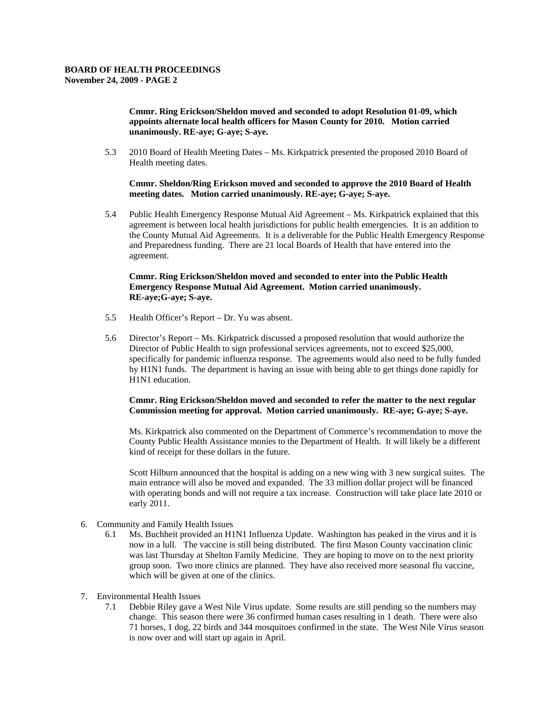**Cmmr. Ring Erickson/Sheldon moved and seconded to adopt Resolution 01-09, which appoints alternate local health officers for Mason County for 2010. Motion carried unanimously. RE-aye; G-aye; S-aye.** 

5.3 2010 Board of Health Meeting Dates – Ms. Kirkpatrick presented the proposed 2010 Board of Health meeting dates.

**Cmmr. Sheldon/Ring Erickson moved and seconded to approve the 2010 Board of Health meeting dates. Motion carried unanimously. RE-aye; G-aye; S-aye.** 

5.4 Public Health Emergency Response Mutual Aid Agreement – Ms. Kirkpatrick explained that this agreement is between local health jurisdictions for public health emergencies. It is an addition to the County Mutual Aid Agreements. It is a deliverable for the Public Health Emergency Response and Preparedness funding. There are 21 local Boards of Health that have entered into the agreement.

## **Cmmr. Ring Erickson/Sheldon moved and seconded to enter into the Public Health Emergency Response Mutual Aid Agreement. Motion carried unanimously. RE-aye;G-aye; S-aye.**

- 5.5 Health Officer's Report Dr. Yu was absent.
- 5.6 Director's Report Ms. Kirkpatrick discussed a proposed resolution that would authorize the Director of Public Health to sign professional services agreements, not to exceed \$25,000, specifically for pandemic influenza response. The agreements would also need to be fully funded by H1N1 funds. The department is having an issue with being able to get things done rapidly for H1N1 education.

## **Cmmr. Ring Erickson/Sheldon moved and seconded to refer the matter to the next regular Commission meeting for approval. Motion carried unanimously. RE-aye; G-aye; S-aye.**

Ms. Kirkpatrick also commented on the Department of Commerce's recommendation to move the County Public Health Assistance monies to the Department of Health. It will likely be a different kind of receipt for these dollars in the future.

Scott Hilburn announced that the hospital is adding on a new wing with 3 new surgical suites. The main entrance will also be moved and expanded. The 33 million dollar project will be financed with operating bonds and will not require a tax increase. Construction will take place late 2010 or early 2011.

- 6. Community and Family Health Issues
	- 6.1 Ms. Buchheit provided an H1N1 Influenza Update. Washington has peaked in the virus and it is now in a lull. The vaccine is still being distributed. The first Mason County vaccination clinic was last Thursday at Shelton Family Medicine. They are hoping to move on to the next priority group soon. Two more clinics are planned. They have also received more seasonal flu vaccine, which will be given at one of the clinics.
- 7. Environmental Health Issues
	- 7.1 Debbie Riley gave a West Nile Virus update. Some results are still pending so the numbers may change. This season there were 36 confirmed human cases resulting in 1 death. There were also 71 horses, 1 dog, 22 birds and 344 mosquitoes confirmed in the state. The West Nile Virus season is now over and will start up again in April.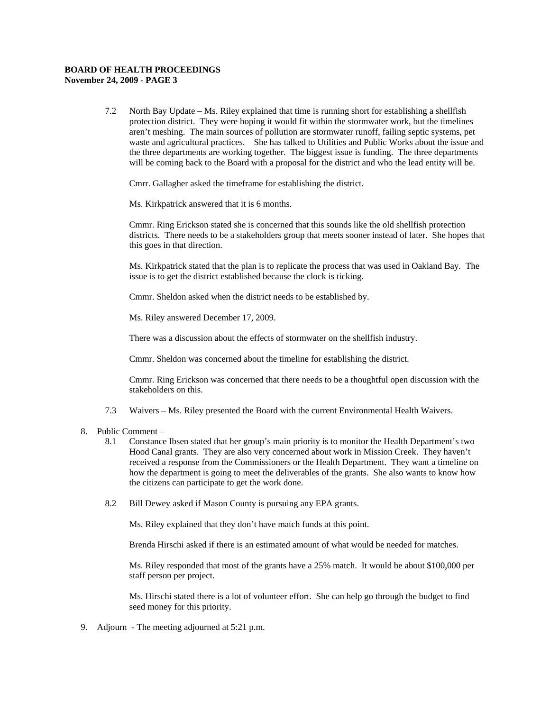#### **BOARD OF HEALTH PROCEEDINGS November 24, 2009 - PAGE 3**

7.2 North Bay Update – Ms. Riley explained that time is running short for establishing a shellfish protection district. They were hoping it would fit within the stormwater work, but the timelines aren't meshing. The main sources of pollution are stormwater runoff, failing septic systems, pet waste and agricultural practices. She has talked to Utilities and Public Works about the issue and the three departments are working together. The biggest issue is funding. The three departments will be coming back to the Board with a proposal for the district and who the lead entity will be.

Cmrr. Gallagher asked the timeframe for establishing the district.

Ms. Kirkpatrick answered that it is 6 months.

Cmmr. Ring Erickson stated she is concerned that this sounds like the old shellfish protection districts. There needs to be a stakeholders group that meets sooner instead of later. She hopes that this goes in that direction.

Ms. Kirkpatrick stated that the plan is to replicate the process that was used in Oakland Bay. The issue is to get the district established because the clock is ticking.

Cmmr. Sheldon asked when the district needs to be established by.

Ms. Riley answered December 17, 2009.

There was a discussion about the effects of stormwater on the shellfish industry.

Cmmr. Sheldon was concerned about the timeline for establishing the district.

Cmmr. Ring Erickson was concerned that there needs to be a thoughtful open discussion with the stakeholders on this.

- 7.3 Waivers Ms. Riley presented the Board with the current Environmental Health Waivers.
- 8. Public Comment
	- 8.1 Constance Ibsen stated that her group's main priority is to monitor the Health Department's two Hood Canal grants. They are also very concerned about work in Mission Creek. They haven't received a response from the Commissioners or the Health Department. They want a timeline on how the department is going to meet the deliverables of the grants. She also wants to know how the citizens can participate to get the work done.
	- 8.2 Bill Dewey asked if Mason County is pursuing any EPA grants.

Ms. Riley explained that they don't have match funds at this point.

Brenda Hirschi asked if there is an estimated amount of what would be needed for matches.

Ms. Riley responded that most of the grants have a 25% match. It would be about \$100,000 per staff person per project.

Ms. Hirschi stated there is a lot of volunteer effort. She can help go through the budget to find seed money for this priority.

9. Adjourn - The meeting adjourned at 5:21 p.m.